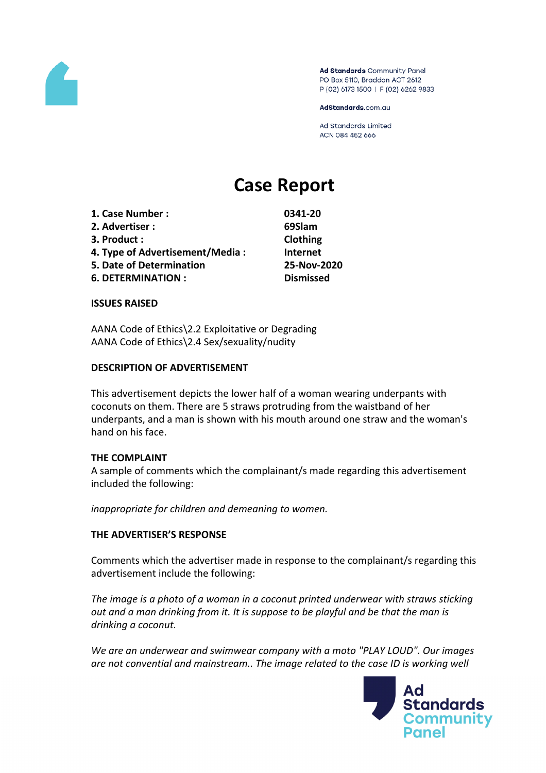

Ad Standards Community Panel PO Box 5110, Braddon ACT 2612 P (02) 6173 1500 | F (02) 6262 9833

AdStandards.com.au

Ad Standards Limited ACN 084 452 666

# **Case Report**

| 1. Case Number:                                                                         | 0341-20                                     |  |  |
|-----------------------------------------------------------------------------------------|---------------------------------------------|--|--|
| 2. Advertiser:                                                                          | 69Slam                                      |  |  |
| 3. Product:                                                                             | Clothing                                    |  |  |
| 4. Type of Advertisement/Media:<br>5. Date of Determination<br><b>6. DETERMINATION:</b> | Internet<br>25-Nov-2020<br><b>Dismissed</b> |  |  |
|                                                                                         |                                             |  |  |

#### **ISSUES RAISED**

AANA Code of Ethics\2.2 Exploitative or Degrading AANA Code of Ethics\2.4 Sex/sexuality/nudity

#### **DESCRIPTION OF ADVERTISEMENT**

This advertisement depicts the lower half of a woman wearing underpants with coconuts on them. There are 5 straws protruding from the waistband of her underpants, and a man is shown with his mouth around one straw and the woman's hand on his face.

### **THE COMPLAINT**

A sample of comments which the complainant/s made regarding this advertisement included the following:

*inappropriate for children and demeaning to women.*

#### **THE ADVERTISER'S RESPONSE**

Comments which the advertiser made in response to the complainant/s regarding this advertisement include the following:

*The image is a photo of a woman in a coconut printed underwear with straws sticking out and a man drinking from it. It is suppose to be playful and be that the man is drinking a coconut.*

*We are an underwear and swimwear company with a moto "PLAY LOUD". Our images are not convential and mainstream.. The image related to the case ID is working well*

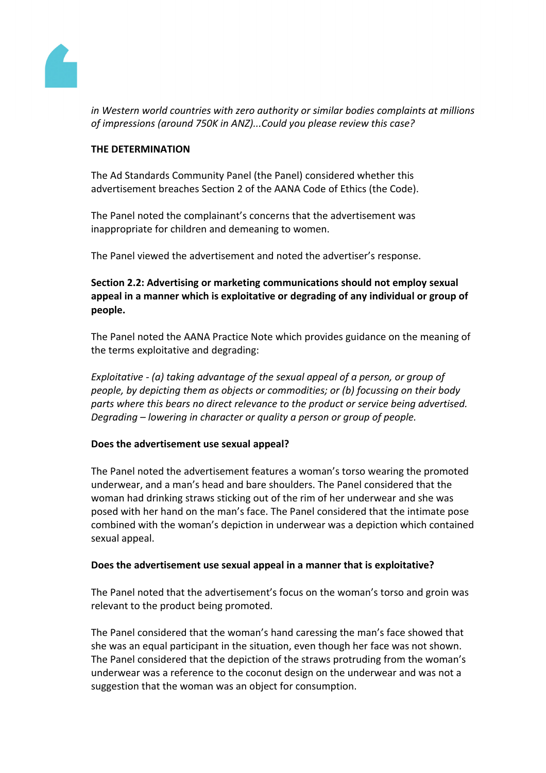

*in Western world countries with zero authority or similar bodies complaints at millions of impressions (around 750K in ANZ)...Could you please review this case?*

# **THE DETERMINATION**

The Ad Standards Community Panel (the Panel) considered whether this advertisement breaches Section 2 of the AANA Code of Ethics (the Code).

The Panel noted the complainant's concerns that the advertisement was inappropriate for children and demeaning to women.

The Panel viewed the advertisement and noted the advertiser's response.

**Section 2.2: Advertising or marketing communications should not employ sexual appeal in a manner which is exploitative or degrading of any individual or group of people.**

The Panel noted the AANA Practice Note which provides guidance on the meaning of the terms exploitative and degrading:

*Exploitative - (a) taking advantage of the sexual appeal of a person, or group of people, by depicting them as objects or commodities; or (b) focussing on their body parts where this bears no direct relevance to the product or service being advertised. Degrading – lowering in character or quality a person or group of people.*

# **Does the advertisement use sexual appeal?**

The Panel noted the advertisement features a woman's torso wearing the promoted underwear, and a man's head and bare shoulders. The Panel considered that the woman had drinking straws sticking out of the rim of her underwear and she was posed with her hand on the man's face. The Panel considered that the intimate pose combined with the woman's depiction in underwear was a depiction which contained sexual appeal.

# **Does the advertisement use sexual appeal in a manner that is exploitative?**

The Panel noted that the advertisement's focus on the woman's torso and groin was relevant to the product being promoted.

The Panel considered that the woman's hand caressing the man's face showed that she was an equal participant in the situation, even though her face was not shown. The Panel considered that the depiction of the straws protruding from the woman's underwear was a reference to the coconut design on the underwear and was not a suggestion that the woman was an object for consumption.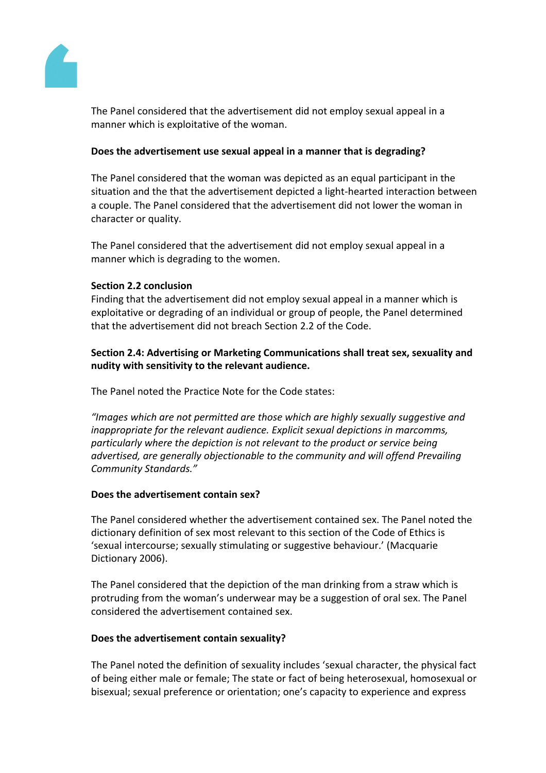

The Panel considered that the advertisement did not employ sexual appeal in a manner which is exploitative of the woman.

# **Does the advertisement use sexual appeal in a manner that is degrading?**

The Panel considered that the woman was depicted as an equal participant in the situation and the that the advertisement depicted a light-hearted interaction between a couple. The Panel considered that the advertisement did not lower the woman in character or quality.

The Panel considered that the advertisement did not employ sexual appeal in a manner which is degrading to the women.

# **Section 2.2 conclusion**

Finding that the advertisement did not employ sexual appeal in a manner which is exploitative or degrading of an individual or group of people, the Panel determined that the advertisement did not breach Section 2.2 of the Code.

**Section 2.4: Advertising or Marketing Communications shall treat sex, sexuality and nudity with sensitivity to the relevant audience.**

The Panel noted the Practice Note for the Code states:

*"Images which are not permitted are those which are highly sexually suggestive and inappropriate for the relevant audience. Explicit sexual depictions in marcomms, particularly where the depiction is not relevant to the product or service being advertised, are generally objectionable to the community and will offend Prevailing Community Standards."*

# **Does the advertisement contain sex?**

The Panel considered whether the advertisement contained sex. The Panel noted the dictionary definition of sex most relevant to this section of the Code of Ethics is 'sexual intercourse; sexually stimulating or suggestive behaviour.' (Macquarie Dictionary 2006).

The Panel considered that the depiction of the man drinking from a straw which is protruding from the woman's underwear may be a suggestion of oral sex. The Panel considered the advertisement contained sex.

# **Does the advertisement contain sexuality?**

The Panel noted the definition of sexuality includes 'sexual character, the physical fact of being either male or female; The state or fact of being heterosexual, homosexual or bisexual; sexual preference or orientation; one's capacity to experience and express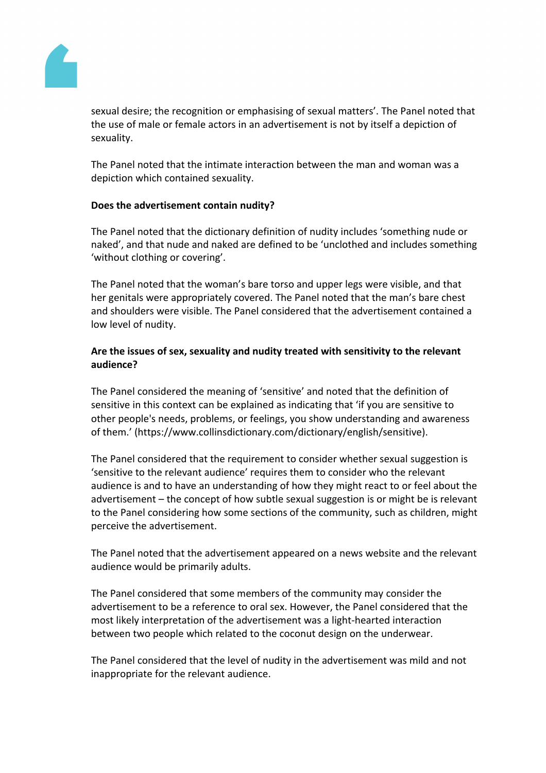

sexual desire; the recognition or emphasising of sexual matters'. The Panel noted that the use of male or female actors in an advertisement is not by itself a depiction of sexuality.

The Panel noted that the intimate interaction between the man and woman was a depiction which contained sexuality.

# **Does the advertisement contain nudity?**

The Panel noted that the dictionary definition of nudity includes 'something nude or naked', and that nude and naked are defined to be 'unclothed and includes something 'without clothing or covering'.

The Panel noted that the woman's bare torso and upper legs were visible, and that her genitals were appropriately covered. The Panel noted that the man's bare chest and shoulders were visible. The Panel considered that the advertisement contained a low level of nudity.

# **Are the issues of sex, sexuality and nudity treated with sensitivity to the relevant audience?**

The Panel considered the meaning of 'sensitive' and noted that the definition of sensitive in this context can be explained as indicating that 'if you are sensitive to other people's needs, problems, or feelings, you show understanding and awareness of them.' (https://www.collinsdictionary.com/dictionary/english/sensitive).

The Panel considered that the requirement to consider whether sexual suggestion is 'sensitive to the relevant audience' requires them to consider who the relevant audience is and to have an understanding of how they might react to or feel about the advertisement – the concept of how subtle sexual suggestion is or might be is relevant to the Panel considering how some sections of the community, such as children, might perceive the advertisement.

The Panel noted that the advertisement appeared on a news website and the relevant audience would be primarily adults.

The Panel considered that some members of the community may consider the advertisement to be a reference to oral sex. However, the Panel considered that the most likely interpretation of the advertisement was a light-hearted interaction between two people which related to the coconut design on the underwear.

The Panel considered that the level of nudity in the advertisement was mild and not inappropriate for the relevant audience.